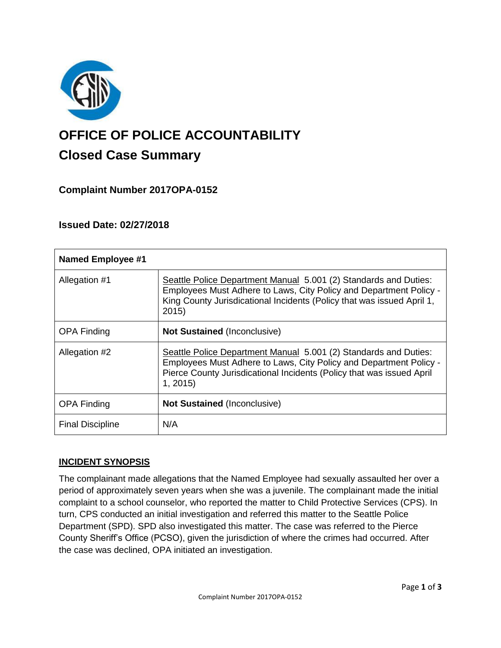

# **OFFICE OF POLICE ACCOUNTABILITY**

# **Closed Case Summary**

# **Complaint Number 2017OPA-0152**

## **Issued Date: 02/27/2018**

| <b>Named Employee #1</b> |                                                                                                                                                                                                                            |
|--------------------------|----------------------------------------------------------------------------------------------------------------------------------------------------------------------------------------------------------------------------|
| Allegation #1            | Seattle Police Department Manual 5.001 (2) Standards and Duties:<br>Employees Must Adhere to Laws, City Policy and Department Policy -<br>King County Jurisdicational Incidents (Policy that was issued April 1,<br>2015)  |
| <b>OPA Finding</b>       | <b>Not Sustained (Inconclusive)</b>                                                                                                                                                                                        |
| Allegation #2            | Seattle Police Department Manual 5.001 (2) Standards and Duties:<br>Employees Must Adhere to Laws, City Policy and Department Policy -<br>Pierce County Jurisdicational Incidents (Policy that was issued April<br>1, 2015 |
| <b>OPA Finding</b>       | <b>Not Sustained (Inconclusive)</b>                                                                                                                                                                                        |
| <b>Final Discipline</b>  | N/A                                                                                                                                                                                                                        |

## **INCIDENT SYNOPSIS**

The complainant made allegations that the Named Employee had sexually assaulted her over a period of approximately seven years when she was a juvenile. The complainant made the initial complaint to a school counselor, who reported the matter to Child Protective Services (CPS). In turn, CPS conducted an initial investigation and referred this matter to the Seattle Police Department (SPD). SPD also investigated this matter. The case was referred to the Pierce County Sheriff's Office (PCSO), given the jurisdiction of where the crimes had occurred. After the case was declined, OPA initiated an investigation.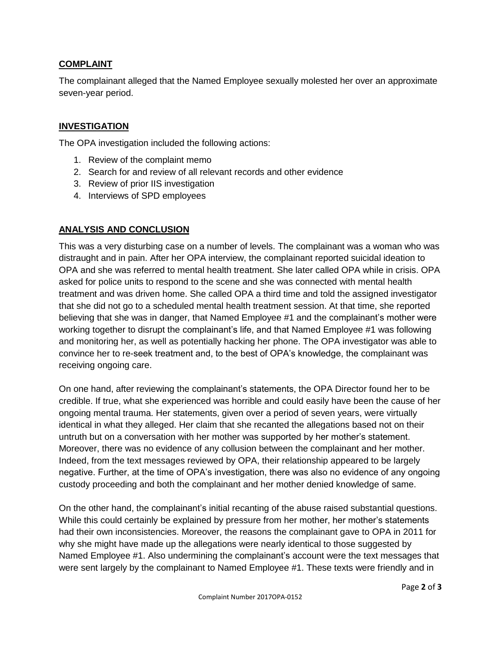#### **COMPLAINT**

The complainant alleged that the Named Employee sexually molested her over an approximate seven-year period.

#### **INVESTIGATION**

The OPA investigation included the following actions:

- 1. Review of the complaint memo
- 2. Search for and review of all relevant records and other evidence
- 3. Review of prior IIS investigation
- 4. Interviews of SPD employees

#### **ANALYSIS AND CONCLUSION**

This was a very disturbing case on a number of levels. The complainant was a woman who was distraught and in pain. After her OPA interview, the complainant reported suicidal ideation to OPA and she was referred to mental health treatment. She later called OPA while in crisis. OPA asked for police units to respond to the scene and she was connected with mental health treatment and was driven home. She called OPA a third time and told the assigned investigator that she did not go to a scheduled mental health treatment session. At that time, she reported believing that she was in danger, that Named Employee #1 and the complainant's mother were working together to disrupt the complainant's life, and that Named Employee #1 was following and monitoring her, as well as potentially hacking her phone. The OPA investigator was able to convince her to re-seek treatment and, to the best of OPA's knowledge, the complainant was receiving ongoing care.

On one hand, after reviewing the complainant's statements, the OPA Director found her to be credible. If true, what she experienced was horrible and could easily have been the cause of her ongoing mental trauma. Her statements, given over a period of seven years, were virtually identical in what they alleged. Her claim that she recanted the allegations based not on their untruth but on a conversation with her mother was supported by her mother's statement. Moreover, there was no evidence of any collusion between the complainant and her mother. Indeed, from the text messages reviewed by OPA, their relationship appeared to be largely negative. Further, at the time of OPA's investigation, there was also no evidence of any ongoing custody proceeding and both the complainant and her mother denied knowledge of same.

On the other hand, the complainant's initial recanting of the abuse raised substantial questions. While this could certainly be explained by pressure from her mother, her mother's statements had their own inconsistencies. Moreover, the reasons the complainant gave to OPA in 2011 for why she might have made up the allegations were nearly identical to those suggested by Named Employee #1. Also undermining the complainant's account were the text messages that were sent largely by the complainant to Named Employee #1. These texts were friendly and in